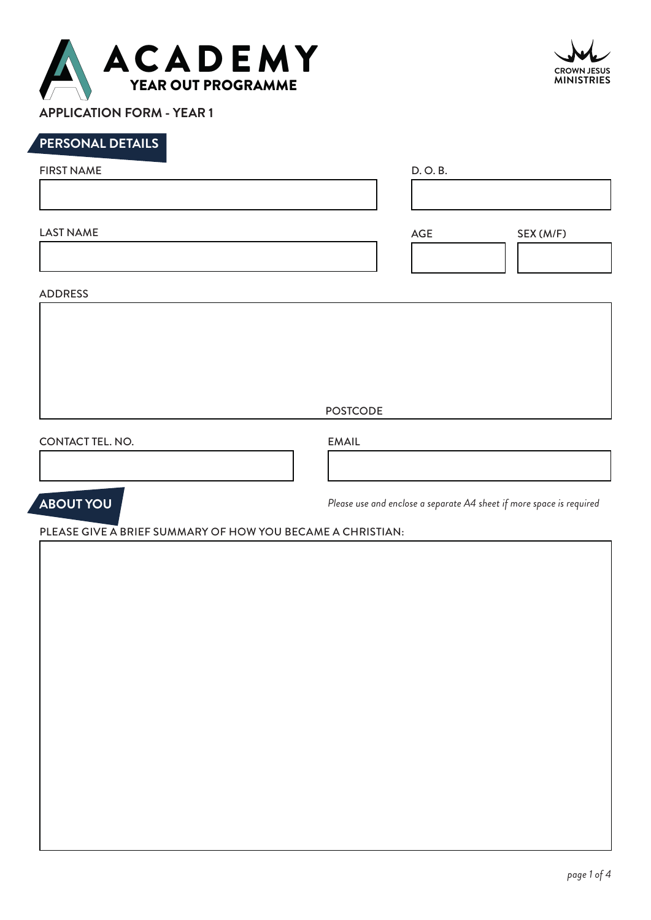

**APPLICATION FORM - YEAR 1**

# **PERSONAL DETAILS**

| <b>FIRST NAME</b> | D. O. B. |           |  |
|-------------------|----------|-----------|--|
|                   |          |           |  |
| <b>LAST NAME</b>  | AGE      | SEX (M/F) |  |
|                   |          |           |  |
| <b>ADDRESS</b>    |          |           |  |

POSTCODE

CONTACT TEL. NO. EMAIL



*Please use and enclose a separate A4 sheet if more space is required*

PLEASE GIVE A BRIEF SUMMARY OF HOW YOU BECAME A CHRISTIAN:

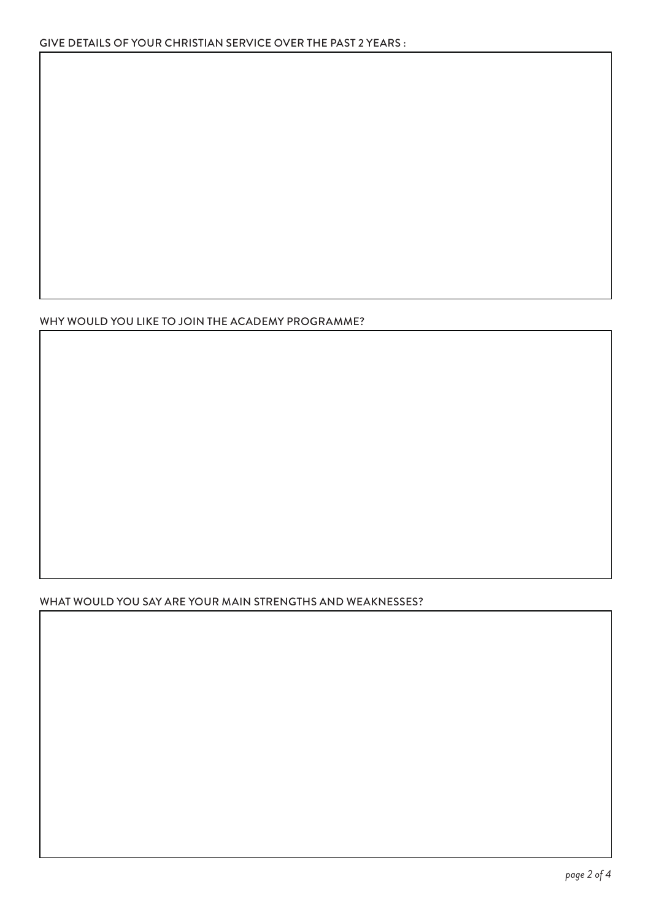## WHY WOULD YOU LIKE TO JOIN THE ACADEMY PROGRAMME?

## WHAT WOULD YOU SAY ARE YOUR MAIN STRENGTHS AND WEAKNESSES?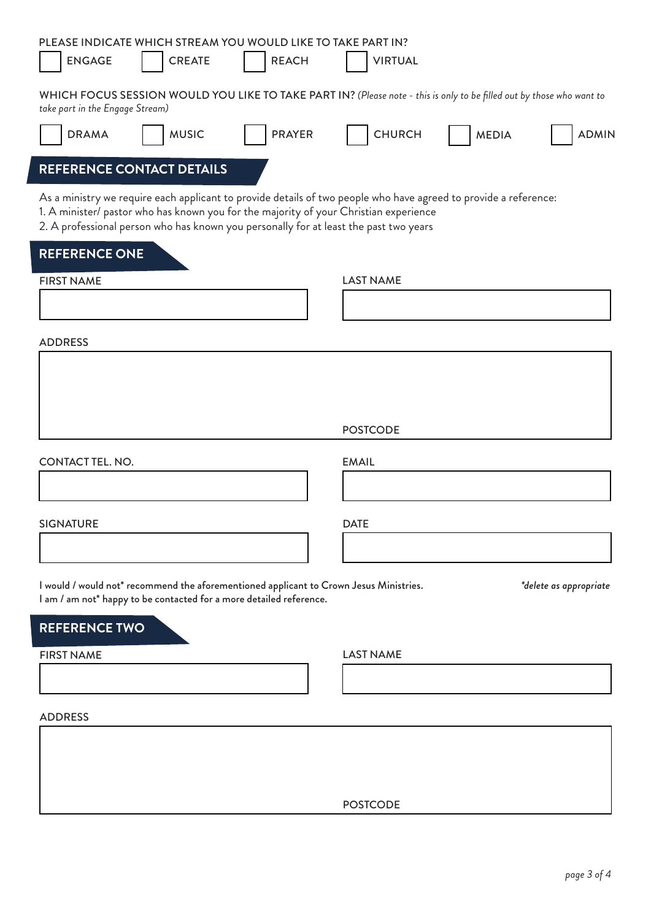| PLEASE INDICATE WHICH STREAM YOU WOULD LIKE TO TAKE PART IN?<br><b>ENGAGE</b><br><b>CREATE</b>                                                                                                                                                                                                     | <b>REACH</b>  | <b>VIRTUAL</b>   |              |                        |
|----------------------------------------------------------------------------------------------------------------------------------------------------------------------------------------------------------------------------------------------------------------------------------------------------|---------------|------------------|--------------|------------------------|
| WHICH FOCUS SESSION WOULD YOU LIKE TO TAKE PART IN? (Please note - this is only to be filled out by those who want to<br>take part in the Engage Stream)                                                                                                                                           |               |                  |              |                        |
| <b>MUSIC</b><br><b>DRAMA</b>                                                                                                                                                                                                                                                                       | <b>PRAYER</b> | <b>CHURCH</b>    | <b>MEDIA</b> | <b>ADMIN</b>           |
| REFERENCE CONTACT DETAILS                                                                                                                                                                                                                                                                          |               |                  |              |                        |
| As a ministry we require each applicant to provide details of two people who have agreed to provide a reference:<br>1. A minister/ pastor who has known you for the majority of your Christian experience<br>2. A professional person who has known you personally for at least the past two years |               |                  |              |                        |
| <b>REFERENCE ONE</b><br><b>FIRST NAME</b>                                                                                                                                                                                                                                                          |               | <b>LAST NAME</b> |              |                        |
|                                                                                                                                                                                                                                                                                                    |               |                  |              |                        |
| <b>ADDRESS</b>                                                                                                                                                                                                                                                                                     |               |                  |              |                        |
|                                                                                                                                                                                                                                                                                                    |               |                  |              |                        |
|                                                                                                                                                                                                                                                                                                    |               |                  |              |                        |
|                                                                                                                                                                                                                                                                                                    |               | <b>POSTCODE</b>  |              |                        |
| <b>CONTACT TEL. NO.</b>                                                                                                                                                                                                                                                                            |               | <b>EMAIL</b>     |              |                        |
|                                                                                                                                                                                                                                                                                                    |               |                  |              |                        |
| <b>SIGNATURE</b>                                                                                                                                                                                                                                                                                   |               | <b>DATE</b>      |              |                        |
| I would / would not* recommend the aforementioned applicant to Crown Jesus Ministries.                                                                                                                                                                                                             |               |                  |              | *delete as appropriate |
| I am / am not* happy to be contacted for a more detailed reference.                                                                                                                                                                                                                                |               |                  |              |                        |
| <b>REFERENCE TWO</b><br><b>FIRST NAME</b>                                                                                                                                                                                                                                                          |               | <b>LAST NAME</b> |              |                        |
|                                                                                                                                                                                                                                                                                                    |               |                  |              |                        |
| <b>ADDRESS</b>                                                                                                                                                                                                                                                                                     |               |                  |              |                        |
|                                                                                                                                                                                                                                                                                                    |               |                  |              |                        |
|                                                                                                                                                                                                                                                                                                    |               |                  |              |                        |
|                                                                                                                                                                                                                                                                                                    |               | <b>POSTCODE</b>  |              |                        |